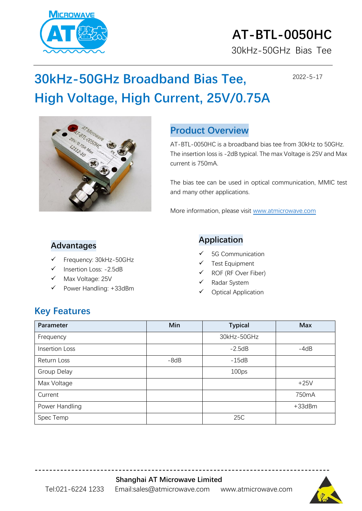

# **AT-BTL-0050HC**

30kHz-50GHz Bias Tee

2022-5-17

## **30kHz-50GHz Broadband Bias Tee, High Voltage, High Current, 25V/0.75A**



#### **Product Overview**

AT-BTL-0050HC is a broadband bias tee from 30kHz to 50GHz. The insertion loss is -2dB typical. The max Voltage is 25V and Max current is 750mA.

The bias tee can be used in optical communication, MMIC test and many other applications.

More information, please visit [www.atmicrowave.com](http://www.atmicrowave.com/)

#### **Advantages**

- Frequency: 30kHz-50GHz
- Insertion Loss: -2.5dB
- Max Voltage: 25V
- Power Handling: +33dBm

#### **Application**

- 5G Communication
- Test Equipment
- ROF (RF Over Fiber)
- ✓ Radar System
- ✓ Optical Application

#### **Key Features**

| Parameter      | Min    | <b>Typical</b>    | <b>Max</b>   |
|----------------|--------|-------------------|--------------|
| Frequency      |        | 30kHz-50GHz       |              |
| Insertion Loss |        | $-2.5dB$          | $-4dB$       |
| Return Loss    | $-8dB$ | $-15dB$           |              |
| Group Delay    |        | 100 <sub>ps</sub> |              |
| Max Voltage    |        |                   | $+25V$       |
| Current        |        |                   | 750mA        |
| Power Handling |        |                   | $+33$ d $Bm$ |
| Spec Temp      |        | 25C               |              |

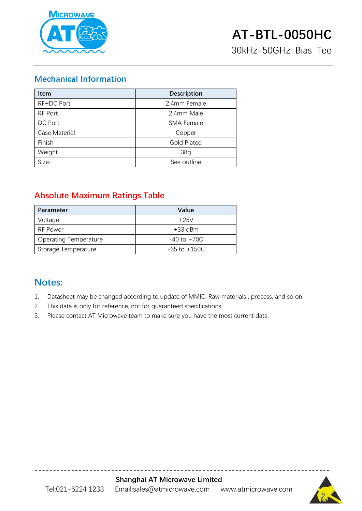

30kHz-50GHz Bias Tee

#### **Mechanical Information**

| <b>Item</b>   | <b>Description</b> |  |
|---------------|--------------------|--|
| RF+DC Port    | 2.4mm Female       |  |
| RF Port       | 2.4mm Male         |  |
| DC Port       | <b>SMA Female</b>  |  |
| Case Material | Copper             |  |
| Finish        | <b>Gold Plated</b> |  |
| Weight        | 38g                |  |
| Size:         | See outline        |  |

#### **Absolute Maximum Ratings Table**

| Parameter                    | Value            |
|------------------------------|------------------|
| Voltage                      | $+25V$           |
| RF Power                     | $+33$ dBm        |
| <b>Operating Temperature</b> | $-40$ to $+70C$  |
| Storage Temperature          | $-65$ to $+150C$ |

#### **Notes:**

- 1. Datasheet may be changed according to update of MMIC, Raw materials , process, and so on.
- 2. This data is only for reference, not for guaranteed specifications.
- 3. Please contact AT Microwave team to make sure you have the most current data.



**---------------------------------------------------------------------------------**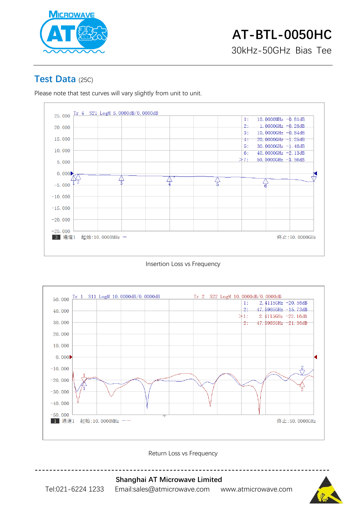

#### **Test Data** (25C)

Please note that test curves will vary slightly from unit to unit.



Insertion Loss vs Frequency



Return Loss vs Frequency



**Shanghai AT Microwave Limited** Tel:021-6224 1233 Email:sales@atmicrowave.com www.atmicrowave.com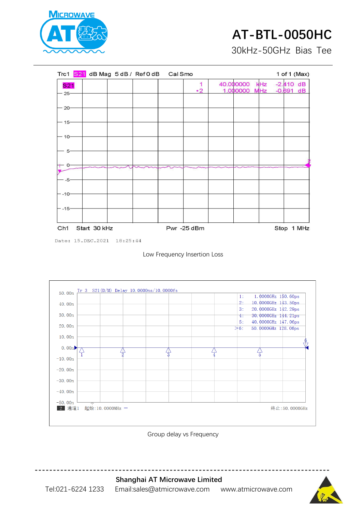

### **AT-BTL-0050HC**

30kHz-50GHz Bias Tee



Date: 15. DEC. 2021 18:25:44





Group delay vs Frequency